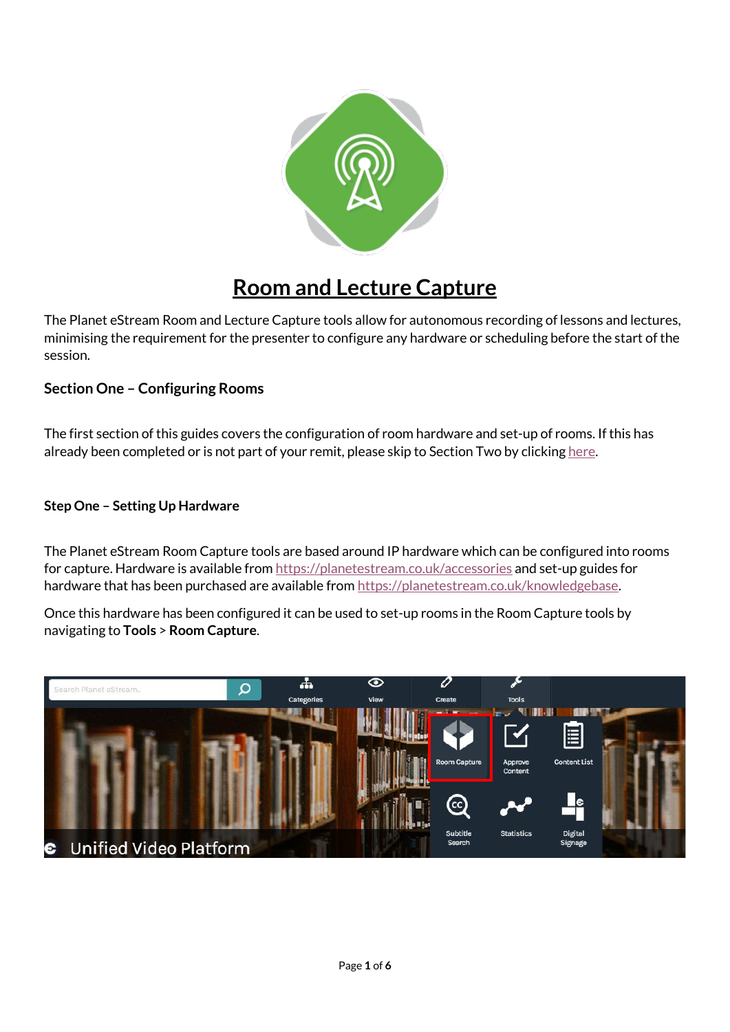

# **Room and Lecture Capture**

The Planet eStream Room and Lecture Capture tools allow for autonomous recording of lessons and lectures, minimising the requirement for the presenter to configure any hardware or scheduling before the start of the session.

# **Section One – Configuring Rooms**

The first section of this guides covers the configuration of room hardware and set-up of rooms. If this has already been completed or is not part of your remit, please skip to Section Two by clickin[g here.](#page-3-0)

## **Step One – Setting Up Hardware**

The Planet eStream Room Capture tools are based around IP hardware which can be configured into rooms for capture. Hardware is available from<https://planetestream.co.uk/accessories> and set-up guides for hardware that has been purchased are available from https://planetestream.co.uk/knowledgebase.

Once this hardware has been configured it can be used to set-up rooms in the Room Capture tools by navigating to **Tools** > **Room Capture**.

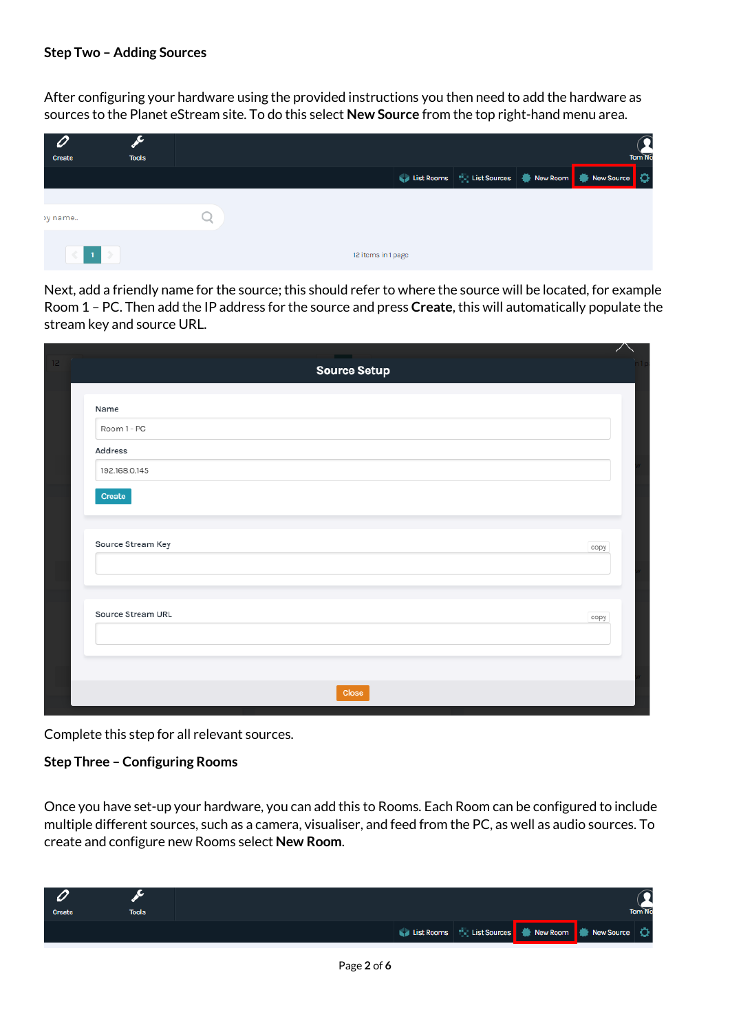## **Step Two – Adding Sources**

After configuring your hardware using the provided instructions you then need to add the hardware as sources to the Planet eStream site. To do this select **New Source** from the top right-hand menu area.

| <b>Create</b> | <b>Tools</b> |  |                    |                                                       |  | <b>Tom No</b> |
|---------------|--------------|--|--------------------|-------------------------------------------------------|--|---------------|
|               |              |  |                    | List Rooms   List Sources   New Room   New Source   0 |  |               |
| y name        |              |  |                    |                                                       |  |               |
| $\leq$ 1 $>$  |              |  | 12 items in 1 page |                                                       |  |               |

Next, add a friendly name for the source; this should refer to where the source will be located, for example Room 1 – PC. Then add the IP address for the source and press **Create**, this will automatically populate the stream key and source URL.

| <b>The Common State</b> |      |  |
|-------------------------|------|--|
| <b>Source Setup</b>     |      |  |
|                         |      |  |
| Name                    |      |  |
| Room 1 - PC             |      |  |
| Address                 |      |  |
| 192.168.0.145           |      |  |
| Create                  |      |  |
|                         |      |  |
|                         |      |  |
| Source Stream Key       | copy |  |
|                         |      |  |
|                         |      |  |
| Source Stream URL       |      |  |
|                         | copy |  |
|                         |      |  |
|                         |      |  |
|                         |      |  |
| <b>Close</b>            |      |  |

Complete this step for all relevant sources.

#### **Step Three – Configuring Rooms**

Once you have set-up your hardware, you can add this to Rooms. Each Room can be configured to include multiple different sources, such as a camera, visualiser, and feed from the PC, as well as audio sources. To create and configure new Rooms select **New Room**.

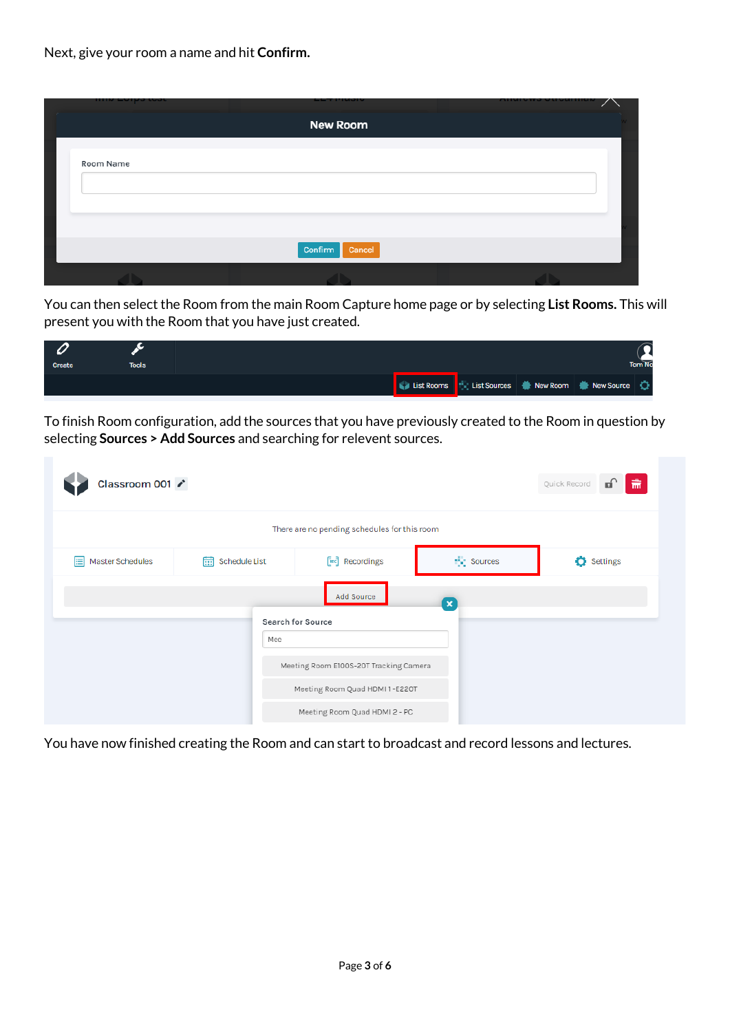Next, give your room a name and hit **Confirm.** 

|           | --                |  |
|-----------|-------------------|--|
|           | <b>New Room</b>   |  |
|           |                   |  |
| Room Name |                   |  |
|           |                   |  |
|           |                   |  |
|           |                   |  |
|           | Confirm<br>Cancel |  |
|           |                   |  |

You can then select the Room from the main Room Capture home page or by selecting **List Rooms.** This will present you with the Room that you have just created.

| <b>Create</b> | <b>Tools</b> |  |                                                       |  | Tom No |
|---------------|--------------|--|-------------------------------------------------------|--|--------|
|               |              |  | List Rooms   List Sources   Mew Room   New Source   Q |  |        |

To finish Room configuration, add the sources that you have previously created to the Room in question by selecting **Sources > Add Sources** and searching for relevent sources.

| Classroom 001         |                   |                                              |             | யி<br>肅<br>Quick Record |
|-----------------------|-------------------|----------------------------------------------|-------------|-------------------------|
|                       |                   | There are no pending schedules for this room |             |                         |
| Master Schedules<br>目 | Schedule List     | <b>Excell</b> Recordings                     | the Sources | <b>C</b> Settings       |
|                       |                   | Add Source                                   | $\mathbf x$ |                         |
|                       | Search for Source |                                              |             |                         |
|                       | Mee               | Meeting Room E100S-20T Tracking Camera       |             |                         |
|                       |                   | Meeting Room Quad HDMI 1-E220T               |             |                         |
|                       |                   | Meeting Room Quad HDMI 2 - PC                |             |                         |

You have now finished creating the Room and can start to broadcast and record lessons and lectures.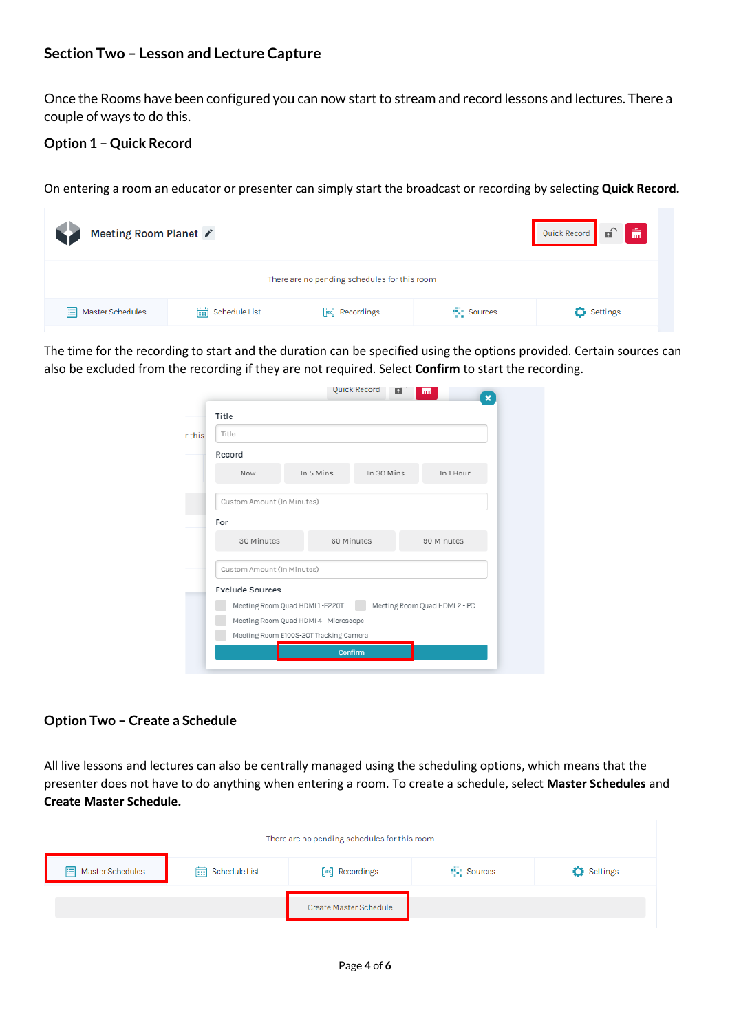# <span id="page-3-0"></span>**Section Two – Lesson and Lecture Capture**

Once the Rooms have been configured you can now start to stream and record lessons and lectures. There a couple of ways to do this.

## **Option 1 – Quick Record**

On entering a room an educator or presenter can simply start the broadcast or recording by selecting **Quick Record.** 

| Quick Record <b>of of of</b><br>Meeting Room Planet |               |                       |                    |                   |  |  |  |
|-----------------------------------------------------|---------------|-----------------------|--------------------|-------------------|--|--|--|
| There are no pending schedules for this room        |               |                       |                    |                   |  |  |  |
| Master Schedules<br>目                               | schedule List | <b>Exc</b> Recordings | <b>THE Sources</b> | <b>D</b> Settings |  |  |  |

The time for the recording to start and the duration can be specified using the options provided. Certain sources can also be excluded from the recording if they are not required. Select **Confirm** to start the recording.

| Title                                                          |           |            |           |  |  |  |  |
|----------------------------------------------------------------|-----------|------------|-----------|--|--|--|--|
| Title                                                          |           |            |           |  |  |  |  |
| Record                                                         |           |            |           |  |  |  |  |
| Now                                                            | In 5 Mins | In 30 Mins | In 1 Hour |  |  |  |  |
| Custom Amount (In Minutes)                                     |           |            |           |  |  |  |  |
| For                                                            |           |            |           |  |  |  |  |
| 30 Minutes<br>60 Minutes<br>90 Minutes                         |           |            |           |  |  |  |  |
| Custom Amount (In Minutes)                                     |           |            |           |  |  |  |  |
| <b>Exclude Sources</b>                                         |           |            |           |  |  |  |  |
| Meeting Room Quad HDMI1-E220T<br>Meeting Room Quad HDMI 2 - PC |           |            |           |  |  |  |  |
| Meeting Room Quad HDMI 4 - Microscope                          |           |            |           |  |  |  |  |
| Meeting Room E100S-20T Tracking Camera                         |           |            |           |  |  |  |  |

#### **Option Two – Create a Schedule**

All live lessons and lectures can also be centrally managed using the scheduling options, which means that the presenter does not have to do anything when entering a room. To create a schedule, select **Master Schedules** and **Create Master Schedule.** 

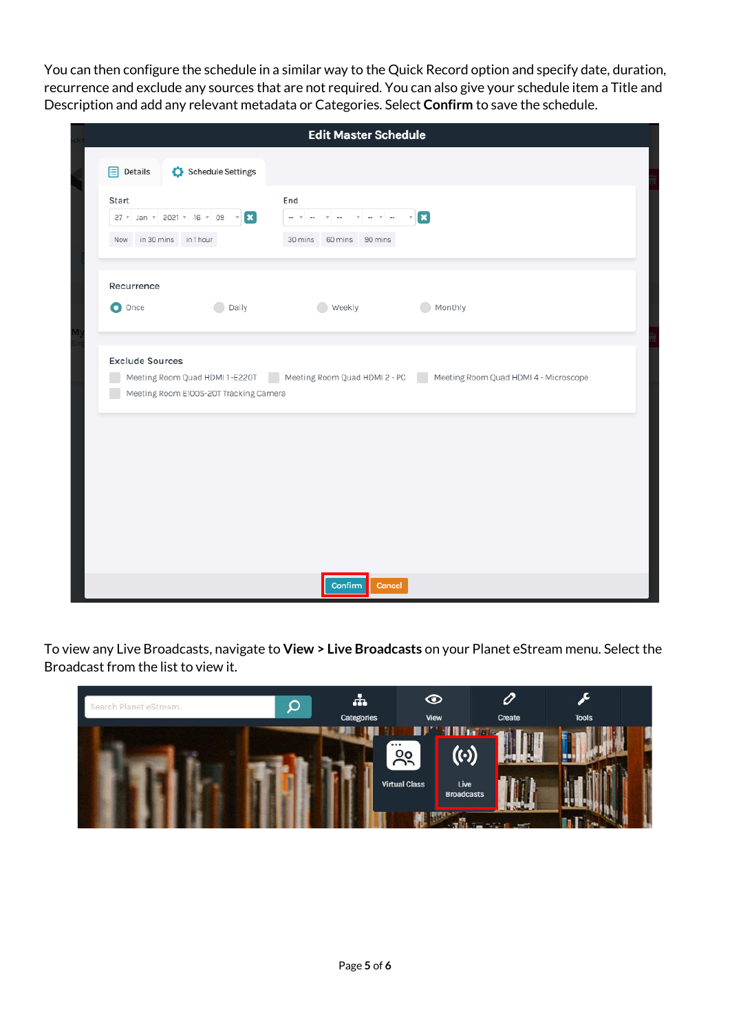You can then configure the schedule in a similar way to the Quick Record option and specify date, duration, recurrence and exclude any sources that are not required. You can also give your schedule item a Title and Description and add any relevant metadata or Categories. Select **Confirm** to save the schedule.

|                                                                                  | <b>Edit Master Schedule</b>                                                                                                                                                                      |
|----------------------------------------------------------------------------------|--------------------------------------------------------------------------------------------------------------------------------------------------------------------------------------------------|
| Schedule Settings<br>$\mathbf{E}$ Details                                        |                                                                                                                                                                                                  |
| Start<br>27 v Jan v 2021 v 16 v 09 v<br>$\mathbf{E}$<br>Now in 30 mins in 1 hour | End<br>$\mathbf{z}$<br>$\mathbf{v} = -\mathbf{v} + \mathbf{v}$<br>$\overline{\phantom{a}}$<br>$\mathbf{v}$ and<br>$\overline{\mathbf{v}}$<br>$\overline{\phantom{a}}$<br>30 mins 60 mins 90 mins |
| Recurrence<br>O Once<br><b>Daily</b>                                             | Weekly<br>Monthly<br>$\bullet$                                                                                                                                                                   |
| <b>Exclude Sources</b><br>Meeting Room E100S-20T Tracking Camera                 | Meeting Room Quad HDMI1-E220T Meeting Room Quad HDMI2-PC Meeting Room Quad HDMI4-Microscope                                                                                                      |
|                                                                                  |                                                                                                                                                                                                  |
|                                                                                  |                                                                                                                                                                                                  |
|                                                                                  | Confirm<br>Cancel                                                                                                                                                                                |

To view any Live Broadcasts, navigate to **View > Live Broadcasts** on your Planet eStream menu. Select the Broadcast from the list to view it.